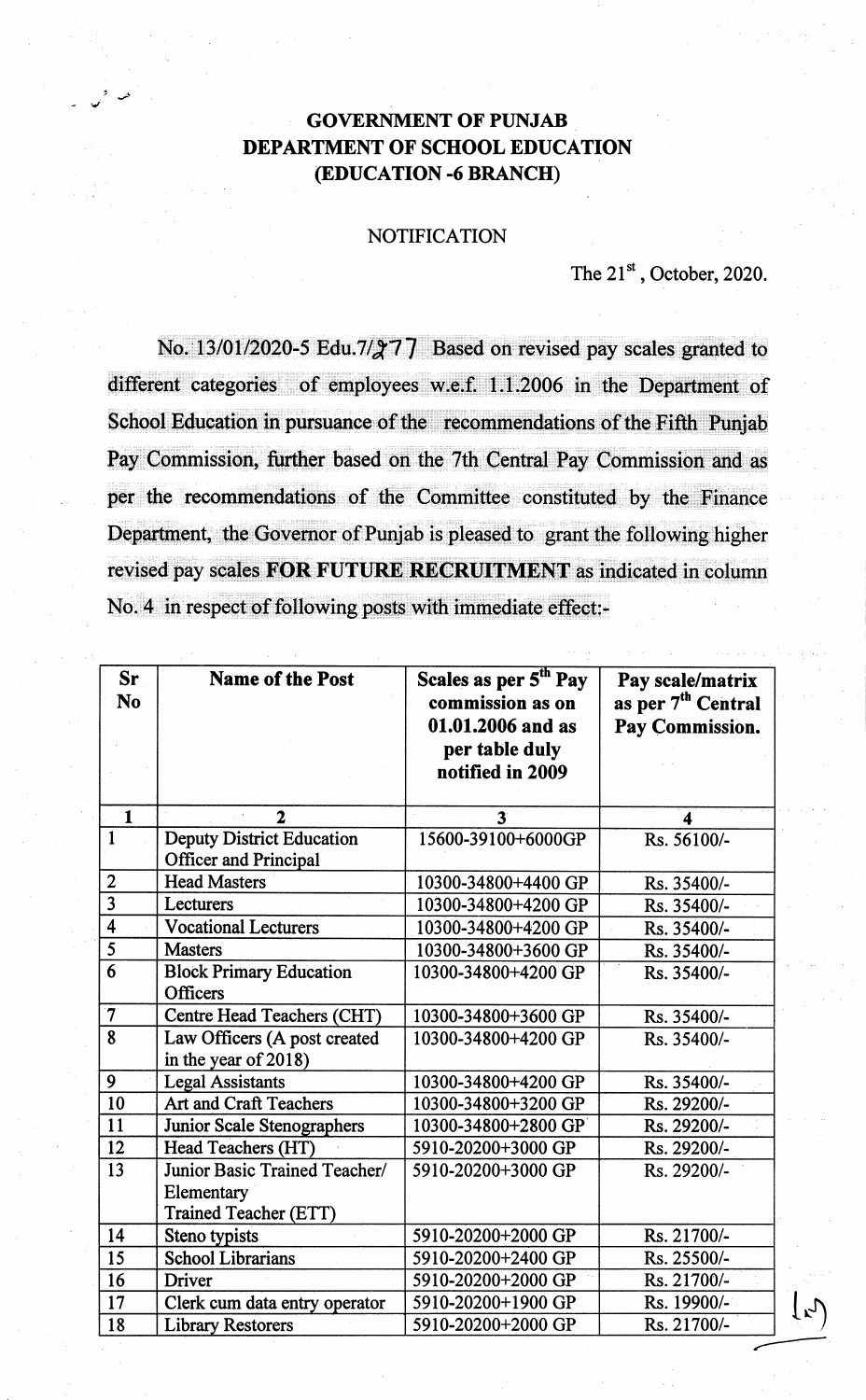## **GOVERNMENT OF PUNJAB** DEPARTMENT OF SCHOOL EDUCATION (EDUCATION -6 BRANCH)

## **NOTIFICATION**

## The 21st, October, 2020.

No. 13/01/2020-5 Edu.7/277 Based on revised pay scales granted to different categories of employees w.e.f. 1.1.2006 in the Department of School Education in pursuance of the recommendations of the Fifth Punjab Pay Commission, further based on the 7th Central Pay Commission and as per the recommendations of the Committee constituted by the Finance Department, the Governor of Punjab is pleased to grant the following higher revised pay scales FOR FUTURE RECRUITMENT as indicated in column No. 4 in respect of following posts with immediate effect:-

| <b>Sr</b><br><b>No</b>  | <b>Name of the Post</b>                                                     | Scales as per 5 <sup>th</sup> Pay<br>commission as on<br>01.01.2006 and as<br>per table duly<br>notified in 2009 | Pay scale/matrix<br>as per 7 <sup>th</sup> Central<br>Pay Commission. |
|-------------------------|-----------------------------------------------------------------------------|------------------------------------------------------------------------------------------------------------------|-----------------------------------------------------------------------|
| $\mathbf{1}$            | $\mathbf{2}$                                                                | $\overline{\mathbf{3}}$                                                                                          | 4                                                                     |
| $\overline{1}$          | <b>Deputy District Education</b><br><b>Officer and Principal</b>            | 15600-39100+6000GP                                                                                               | Rs. 56100/-                                                           |
| $\overline{2}$          | <b>Head Masters</b>                                                         | 10300-34800+4400 GP                                                                                              | Rs. 35400/-                                                           |
| $\overline{3}$          | Lecturers                                                                   | 10300-34800+4200 GP                                                                                              | Rs. 35400/-                                                           |
| $\overline{4}$          | <b>Vocational Lecturers</b>                                                 | 10300-34800+4200 GP                                                                                              | Rs. 35400/-                                                           |
| 5                       | <b>Masters</b>                                                              | 10300-34800+3600 GP                                                                                              | Rs. 35400/-                                                           |
| $\overline{6}$          | <b>Block Primary Education</b><br><b>Officers</b>                           | 10300-34800+4200 GP                                                                                              | Rs. 35400/-                                                           |
| $\overline{\mathbf{7}}$ | Centre Head Teachers (CHT)                                                  | 10300-34800+3600 GP                                                                                              | Rs. 35400/-                                                           |
| 8                       | Law Officers (A post created<br>in the year of 2018)                        | 10300-34800+4200 GP                                                                                              | Rs. 35400/-                                                           |
| 9                       | <b>Legal Assistants</b>                                                     | 10300-34800+4200 GP                                                                                              | Rs. 35400/-                                                           |
| 10                      | Art and Craft Teachers                                                      | 10300-34800+3200 GP                                                                                              | Rs. 29200/-                                                           |
| 11                      | <b>Junior Scale Stenographers</b>                                           | 10300-34800+2800 GP                                                                                              | Rs. 29200/-                                                           |
| 12                      | Head Teachers (HT)                                                          | 5910-20200+3000 GP                                                                                               | Rs. 29200/-                                                           |
| 13                      | Junior Basic Trained Teacher/<br>Elementary<br><b>Trained Teacher (ETT)</b> | 5910-20200+3000 GP                                                                                               | Rs. 29200/-                                                           |
| 14                      | Steno typists                                                               | 5910-20200+2000 GP                                                                                               | Rs. 21700/-                                                           |
| 15                      | <b>School Librarians</b>                                                    | 5910-20200+2400 GP                                                                                               | Rs. 25500/-                                                           |
| $\overline{16}$         | <b>Driver</b>                                                               | 5910-20200+2000 GP                                                                                               | Rs. 21700/-                                                           |
| 17                      | Clerk cum data entry operator                                               | 5910-20200+1900 GP                                                                                               | Rs. 19900/-                                                           |
| 18                      | <b>Library Restorers</b>                                                    | 5910-20200+2000 GP                                                                                               | Rs. 21700/-                                                           |